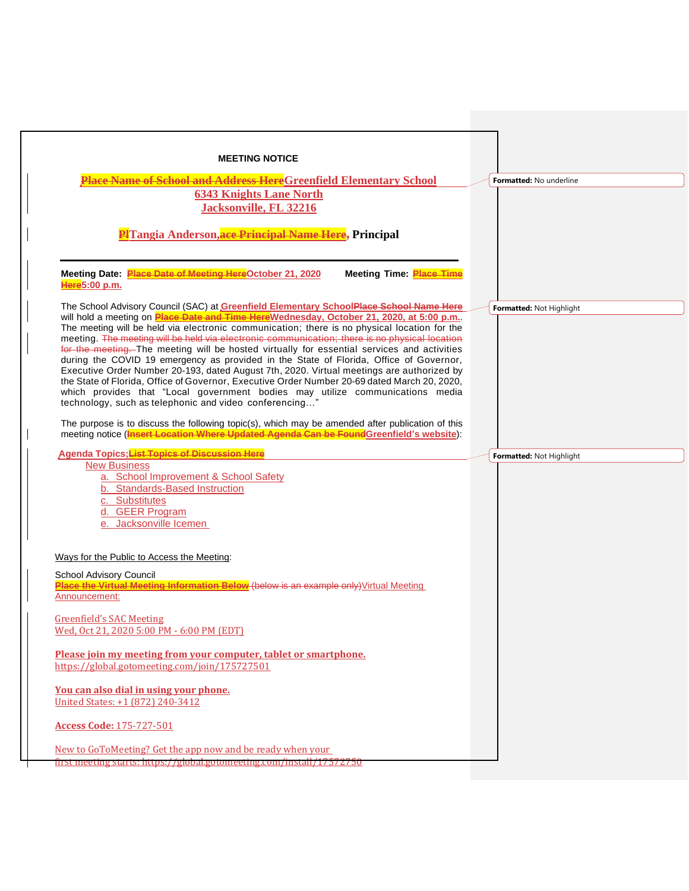| <b>MEETING NOTICE</b>                                                                                                                                                                                                                                                                                                                                                                                                                                                                                                                                                                                                                                                                                                                                                                                                                                                                                                                                                                                                     |                                |
|---------------------------------------------------------------------------------------------------------------------------------------------------------------------------------------------------------------------------------------------------------------------------------------------------------------------------------------------------------------------------------------------------------------------------------------------------------------------------------------------------------------------------------------------------------------------------------------------------------------------------------------------------------------------------------------------------------------------------------------------------------------------------------------------------------------------------------------------------------------------------------------------------------------------------------------------------------------------------------------------------------------------------|--------------------------------|
| <b>Place Name of School and Address Here</b> Greenfield Elementary School                                                                                                                                                                                                                                                                                                                                                                                                                                                                                                                                                                                                                                                                                                                                                                                                                                                                                                                                                 | <b>Formatted: No underline</b> |
| <b>6343 Knights Lane North</b><br>Jacksonville, FL 32216<br><b>PHTangia Anderson, ace Principal Name Here, Principal</b>                                                                                                                                                                                                                                                                                                                                                                                                                                                                                                                                                                                                                                                                                                                                                                                                                                                                                                  |                                |
| Meeting Date: Place Date of Meeting HereOctober 21, 2020<br><b>Meeting Time: Place Time</b><br>Here5:00 p.m.                                                                                                                                                                                                                                                                                                                                                                                                                                                                                                                                                                                                                                                                                                                                                                                                                                                                                                              |                                |
| The School Advisory Council (SAC) at Greenfield Elementary SchoolPlace School Name Here<br>will hold a meeting on Place Date and Time Here Wednesday, October 21, 2020, at 5:00 p.m<br>The meeting will be held via electronic communication; there is no physical location for the<br>meeting. The meeting will be held via electronic communication; there is no physical location<br>for the meeting. The meeting will be hosted virtually for essential services and activities<br>during the COVID 19 emergency as provided in the State of Florida, Office of Governor,<br>Executive Order Number 20-193, dated August 7th, 2020. Virtual meetings are authorized by<br>the State of Florida, Office of Governor, Executive Order Number 20-69 dated March 20, 2020,<br>which provides that "Local government bodies may utilize communications media<br>technology, such as telephonic and video conferencing"<br>The purpose is to discuss the following topic(s), which may be amended after publication of this | Formatted: Not Highlight       |
| meeting notice (Insert Location Where Updated Agenda Can be Found Greenfield's website):                                                                                                                                                                                                                                                                                                                                                                                                                                                                                                                                                                                                                                                                                                                                                                                                                                                                                                                                  |                                |
| Agenda Topics; List Topics of Discussion Here<br><b>New Business</b><br>a. School Improvement & School Safety<br>b. Standards-Based Instruction<br>c. Substitutes<br>d. GEER Program<br>e. Jacksonville Icemen<br>Ways for the Public to Access the Meeting:                                                                                                                                                                                                                                                                                                                                                                                                                                                                                                                                                                                                                                                                                                                                                              | Formatted: Not Highlight       |
| School Advisory Council<br>Place the Virtual Meeting Information Below (below is an example only) Virtual Meeting<br>Announcement:                                                                                                                                                                                                                                                                                                                                                                                                                                                                                                                                                                                                                                                                                                                                                                                                                                                                                        |                                |
| <b>Greenfield's SAC Meeting</b><br>Wed, Oct 21, 2020 5:00 PM - 6:00 PM (EDT)                                                                                                                                                                                                                                                                                                                                                                                                                                                                                                                                                                                                                                                                                                                                                                                                                                                                                                                                              |                                |
| Please join my meeting from your computer, tablet or smartphone.<br>https://global.gotomeeting.com/join/175727501                                                                                                                                                                                                                                                                                                                                                                                                                                                                                                                                                                                                                                                                                                                                                                                                                                                                                                         |                                |
| You can also dial in using your phone.<br>United States: +1 (872) 240-3412                                                                                                                                                                                                                                                                                                                                                                                                                                                                                                                                                                                                                                                                                                                                                                                                                                                                                                                                                |                                |
|                                                                                                                                                                                                                                                                                                                                                                                                                                                                                                                                                                                                                                                                                                                                                                                                                                                                                                                                                                                                                           |                                |
| <b>Access Code: 175-727-501</b>                                                                                                                                                                                                                                                                                                                                                                                                                                                                                                                                                                                                                                                                                                                                                                                                                                                                                                                                                                                           |                                |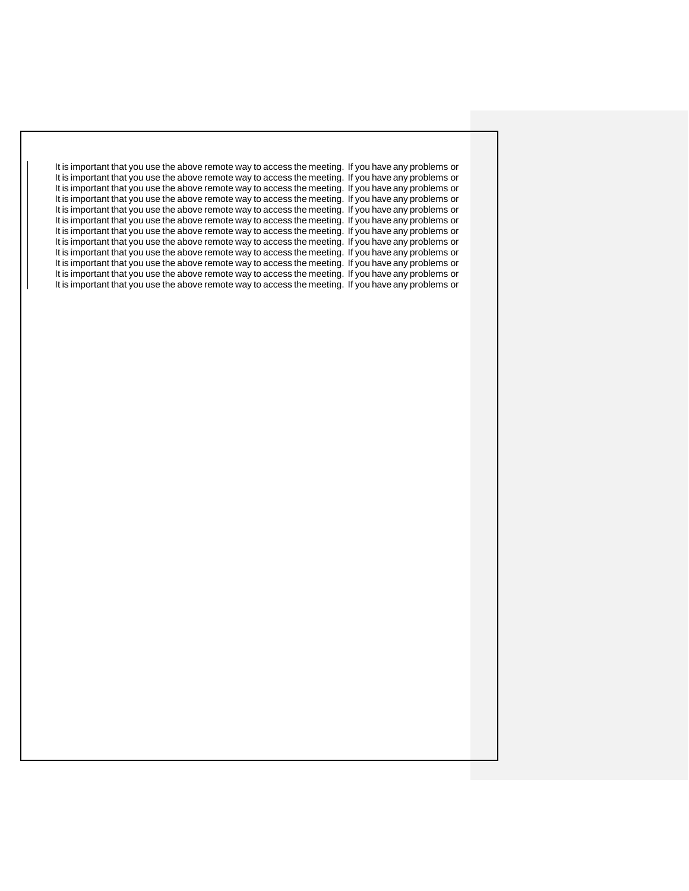It is important that you use the above remote way to access the meeting. If you have any problems or It is important that you use the above remote way to access the meeting. If you have any problems or It is important that you use the above remote way to access the meeting. If you have any problems or It is important that you use the above remote way to access the meeting. If you have any problems or It is important that you use the above remote way to access the meeting. If you have any problems or It is important that you use the above remote way to access the meeting. If you have any problems or It is important that you use the above remote way to access the meeting. If you have any problems or It is important that you use the above remote way to access the meeting. If you have any problems or It is important that you use the above remote way to access the meeting. If you have any problems or It is important that you use the above remote way to access the meeting. If you have any problems or It is important that you use the above remote way to access the meeting. If you have any problems or It is important that you use the above remote way to access the meeting. If you have any problems or